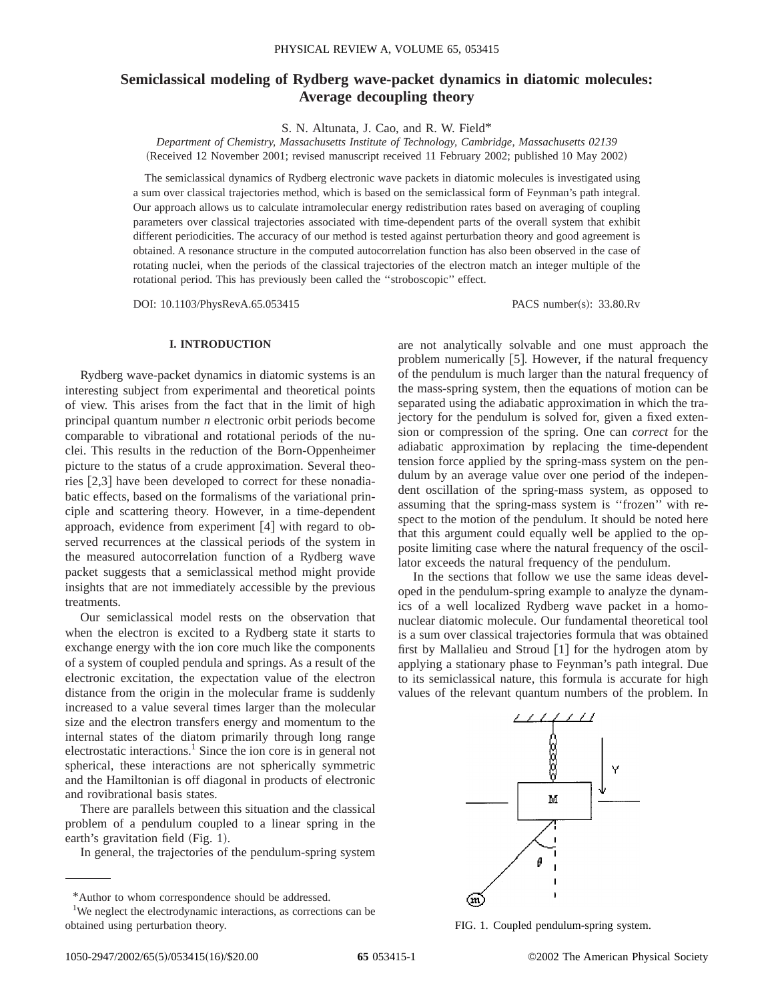# **Semiclassical modeling of Rydberg wave-packet dynamics in diatomic molecules: Average decoupling theory**

S. N. Altunata, J. Cao, and R. W. Field\*

*Department of Chemistry, Massachusetts Institute of Technology, Cambridge, Massachusetts 02139* (Received 12 November 2001; revised manuscript received 11 February 2002; published 10 May 2002)

The semiclassical dynamics of Rydberg electronic wave packets in diatomic molecules is investigated using a sum over classical trajectories method, which is based on the semiclassical form of Feynman's path integral. Our approach allows us to calculate intramolecular energy redistribution rates based on averaging of coupling parameters over classical trajectories associated with time-dependent parts of the overall system that exhibit different periodicities. The accuracy of our method is tested against perturbation theory and good agreement is obtained. A resonance structure in the computed autocorrelation function has also been observed in the case of rotating nuclei, when the periods of the classical trajectories of the electron match an integer multiple of the rotational period. This has previously been called the ''stroboscopic'' effect.

DOI: 10.1103/PhysRevA.65.053415 PACS number(s): 33.80.Rv

# **I. INTRODUCTION**

Rydberg wave-packet dynamics in diatomic systems is an interesting subject from experimental and theoretical points of view. This arises from the fact that in the limit of high principal quantum number *n* electronic orbit periods become comparable to vibrational and rotational periods of the nuclei. This results in the reduction of the Born-Oppenheimer picture to the status of a crude approximation. Several theories  $[2,3]$  have been developed to correct for these nonadiabatic effects, based on the formalisms of the variational principle and scattering theory. However, in a time-dependent approach, evidence from experiment  $[4]$  with regard to observed recurrences at the classical periods of the system in the measured autocorrelation function of a Rydberg wave packet suggests that a semiclassical method might provide insights that are not immediately accessible by the previous treatments.

Our semiclassical model rests on the observation that when the electron is excited to a Rydberg state it starts to exchange energy with the ion core much like the components of a system of coupled pendula and springs. As a result of the electronic excitation, the expectation value of the electron distance from the origin in the molecular frame is suddenly increased to a value several times larger than the molecular size and the electron transfers energy and momentum to the internal states of the diatom primarily through long range electrostatic interactions. $<sup>1</sup>$  Since the ion core is in general not</sup> spherical, these interactions are not spherically symmetric and the Hamiltonian is off diagonal in products of electronic and rovibrational basis states.

There are parallels between this situation and the classical problem of a pendulum coupled to a linear spring in the earth's gravitation field  $(Fig. 1)$ .

In general, the trajectories of the pendulum-spring system

are not analytically solvable and one must approach the problem numerically  $[5]$ . However, if the natural frequency of the pendulum is much larger than the natural frequency of the mass-spring system, then the equations of motion can be separated using the adiabatic approximation in which the trajectory for the pendulum is solved for, given a fixed extension or compression of the spring. One can *correct* for the adiabatic approximation by replacing the time-dependent tension force applied by the spring-mass system on the pendulum by an average value over one period of the independent oscillation of the spring-mass system, as opposed to assuming that the spring-mass system is ''frozen'' with respect to the motion of the pendulum. It should be noted here that this argument could equally well be applied to the opposite limiting case where the natural frequency of the oscillator exceeds the natural frequency of the pendulum.

In the sections that follow we use the same ideas developed in the pendulum-spring example to analyze the dynamics of a well localized Rydberg wave packet in a homonuclear diatomic molecule. Our fundamental theoretical tool is a sum over classical trajectories formula that was obtained first by Mallalieu and Stroud  $\lceil 1 \rceil$  for the hydrogen atom by applying a stationary phase to Feynman's path integral. Due to its semiclassical nature, this formula is accurate for high values of the relevant quantum numbers of the problem. In



<sup>\*</sup>Author to whom correspondence should be addressed.

<sup>&</sup>lt;sup>1</sup>We neglect the electrodynamic interactions, as corrections can be obtained using perturbation theory. FIG. 1. Coupled pendulum-spring system.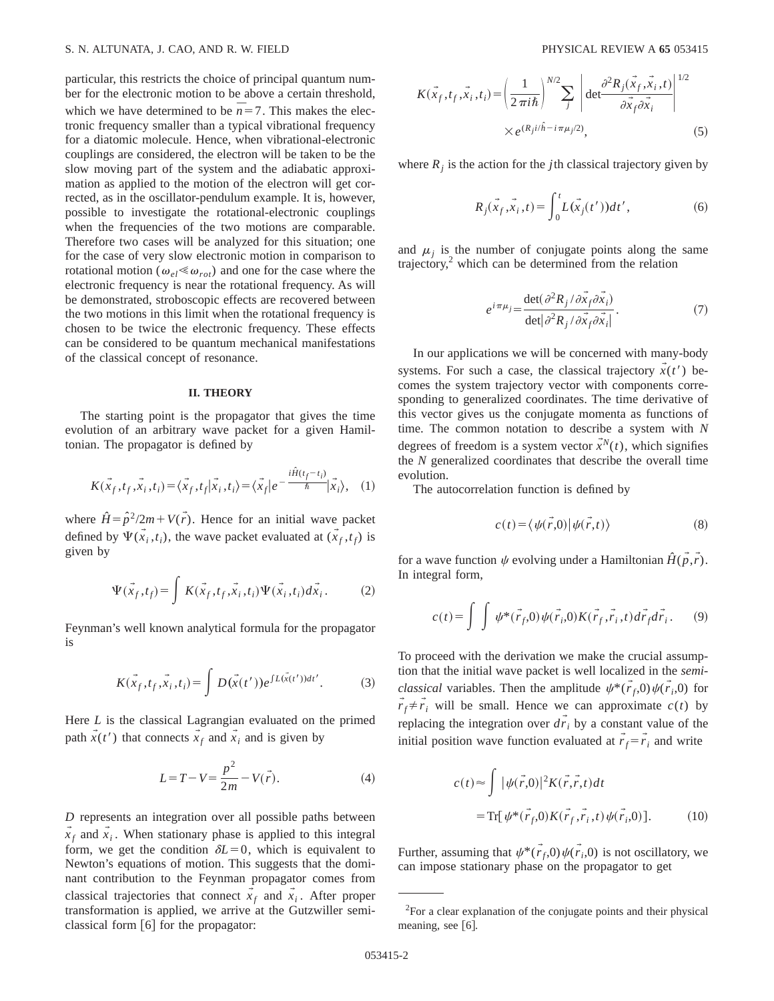particular, this restricts the choice of principal quantum number for the electronic motion to be above a certain threshold, which we have determined to be  $\overline{n}$  = 7. This makes the electronic frequency smaller than a typical vibrational frequency for a diatomic molecule. Hence, when vibrational-electronic couplings are considered, the electron will be taken to be the slow moving part of the system and the adiabatic approximation as applied to the motion of the electron will get corrected, as in the oscillator-pendulum example. It is, however, possible to investigate the rotational-electronic couplings when the frequencies of the two motions are comparable. Therefore two cases will be analyzed for this situation; one for the case of very slow electronic motion in comparison to rotational motion ( $\omega_{el} \ll \omega_{rot}$ ) and one for the case where the electronic frequency is near the rotational frequency. As will be demonstrated, stroboscopic effects are recovered between the two motions in this limit when the rotational frequency is chosen to be twice the electronic frequency. These effects can be considered to be quantum mechanical manifestations of the classical concept of resonance.

#### **II. THEORY**

The starting point is the propagator that gives the time evolution of an arbitrary wave packet for a given Hamiltonian. The propagator is defined by

$$
K(\vec{x}_f, t_f, \vec{x}_i, t_i) = \langle \vec{x}_f, t_f | \vec{x}_i, t_i \rangle = \langle \vec{x}_f | e^{-\frac{i\hat{H}(t_f - t_i)}{\hbar}} | \vec{x}_i \rangle, \quad (1)
$$

where  $\hat{H} = \hat{p}^2/2m + V(\vec{r})$ . Hence for an initial wave packet defined by  $\Psi(\vec{x}_i, t_i)$ , the wave packet evaluated at  $(\vec{x}_i, t_i)$  is given by

$$
\Psi(\vec{x}_f, t_f) = \int K(\vec{x}_f, t_f, \vec{x}_i, t_i) \Psi(\vec{x}_i, t_i) d\vec{x}_i.
$$
 (2)

Feynman's well known analytical formula for the propagator is

$$
K(\vec{x}_f, t_f, \vec{x}_i, t_i) = \int D(\vec{x}(t'))e^{\int L(\vec{x}(t'))dt'}.
$$
 (3)

Here *L* is the classical Lagrangian evaluated on the primed path  $\vec{x}(t')$  that connects  $\vec{x}_f$  and  $\vec{x}_i$  and is given by

$$
L = T - V = \frac{p^2}{2m} - V(\vec{r}).
$$
 (4)

*D* represents an integration over all possible paths between  $\vec{x}_f$  and  $\vec{x}_i$ . When stationary phase is applied to this integral form, we get the condition  $\delta L=0$ , which is equivalent to Newton's equations of motion. This suggests that the dominant contribution to the Feynman propagator comes from classical trajectories that connect  $\vec{x}_f$  and  $\vec{x}_i$ . After proper transformation is applied, we arrive at the Gutzwiller semiclassical form  $[6]$  for the propagator:

$$
K(\vec{x}_f, t_f, \vec{x}_i, t_i) = \left(\frac{1}{2\pi i\hbar}\right)^{N/2} \sum_j \left| \det \frac{\partial^2 R_j(\vec{x}_f, \vec{x}_i, t)}{\partial \vec{x}_f \partial \vec{x}_i} \right|^{1/2}
$$
  
 
$$
\times e^{(R_j i/\hat{h} - i\pi \mu_j/2)}, \qquad (5)
$$

where  $R_i$  is the action for the *j*th classical trajectory given by

$$
R_j(\vec{x}_f, \vec{x}_i, t) = \int_0^t L(\vec{x}_j(t'))dt',
$$
 (6)

and  $\mu_j$  is the number of conjugate points along the same trajectory, $2$  which can be determined from the relation

$$
e^{i\pi\mu_j} = \frac{\det(\partial^2 R_j / \partial \vec{x}_f \partial \vec{x}_i)}{\det[\partial^2 R_j / \partial \vec{x}_f \partial \vec{x}_i]}.
$$
(7)

In our applications we will be concerned with many-body systems. For such a case, the classical trajectory  $\tilde{x}(t')$  becomes the system trajectory vector with components corresponding to generalized coordinates. The time derivative of this vector gives us the conjugate momenta as functions of time. The common notation to describe a system with *N* degrees of freedom is a system vector  $\vec{x}^N(t)$ , which signifies the *N* generalized coordinates that describe the overall time evolution.

The autocorrelation function is defined by

$$
c(t) = \langle \psi(\vec{r}, 0) | \psi(\vec{r}, t) \rangle \tag{8}
$$

for a wave function  $\psi$  evolving under a Hamiltonian  $\hat{H}(\vec{p},\vec{r})$ . In integral form,

$$
c(t) = \int \int \psi^* (\vec{r}_f, 0) \psi(\vec{r}_i, 0) K(\vec{r}_f, \vec{r}_i, t) d\vec{r}_f d\vec{r}_i.
$$
 (9)

To proceed with the derivation we make the crucial assumption that the initial wave packet is well localized in the *semiclassical* variables. Then the amplitude  $\psi^*(\vec{r}_f,0)\psi(\vec{r}_i,0)$  for  $\vec{r}_f \neq \vec{r}_i$  will be small. Hence we can approximate  $c(t)$  by replacing the integration over  $\vec{dr_i}$  by a constant value of the initial position wave function evaluated at  $\vec{r}_f = \vec{r}_i$  and write

$$
c(t) \approx \int |\psi(\vec{r},0)|^2 K(\vec{r},\vec{r},t) dt
$$
  
= Tr[  $\psi^* (\vec{r}_f,0) K(\vec{r}_f,\vec{r}_i,t) \psi(\vec{r}_i,0)].$  (10)

Further, assuming that  $\psi^*(\vec{r}_f,0)\psi(\vec{r}_i,0)$  is not oscillatory, we can impose stationary phase on the propagator to get

 ${}^{2}$ For a clear explanation of the conjugate points and their physical meaning, see  $[6]$ .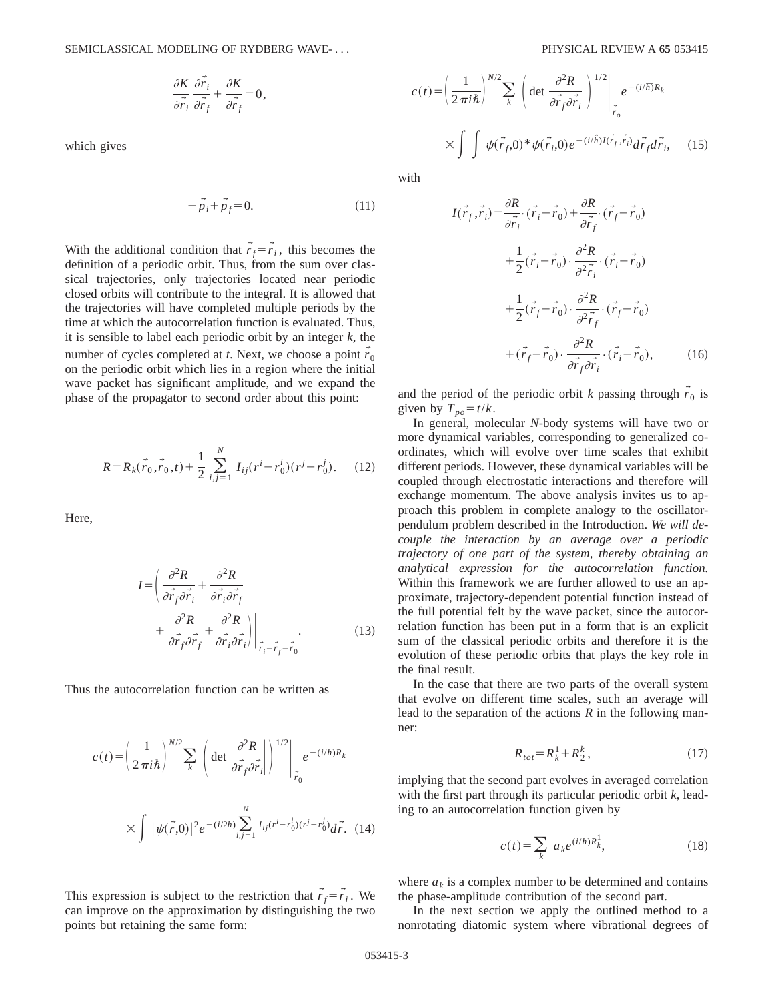$$
\frac{\partial K}{\partial \vec{r}_i} \frac{\partial \vec{r}_i}{\partial \vec{r}_f} + \frac{\partial K}{\partial \vec{r}_f} = 0,
$$

which gives

$$
-\vec{p}_i + \vec{p}_f = 0. \tag{11}
$$

With the additional condition that  $\vec{r}_f = \vec{r}_i$ , this becomes the definition of a periodic orbit. Thus, from the sum over classical trajectories, only trajectories located near periodic closed orbits will contribute to the integral. It is allowed that the trajectories will have completed multiple periods by the time at which the autocorrelation function is evaluated. Thus, it is sensible to label each periodic orbit by an integer *k*, the number of cycles completed at *t*. Next, we choose a point  $\vec{r}_0$ on the periodic orbit which lies in a region where the initial wave packet has significant amplitude, and we expand the phase of the propagator to second order about this point:

$$
R = R_k(\vec{r}_0, \vec{r}_0, t) + \frac{1}{2} \sum_{i,j=1}^{N} I_{ij}(r^i - r_0^i)(r^j - r_0^j).
$$
 (12)

Here,

$$
I = \left(\frac{\partial^2 R}{\partial \vec{r}_f \partial \vec{r}_i} + \frac{\partial^2 R}{\partial \vec{r}_i \partial \vec{r}_f} + \frac{\partial^2 R}{\partial \vec{r}_f \partial \vec{r}_f} + \frac{\partial^2 R}{\partial \vec{r}_f \partial \vec{r}_f} + \frac{\partial^2 R}{\partial \vec{r}_f \partial \vec{r}_i}\right)\Big|_{\vec{r}_i = \vec{r}_f = \vec{r}_0}
$$
(13)

Thus the autocorrelation function can be written as

$$
c(t) = \left(\frac{1}{2\pi i\hbar}\right)^{N/2} \sum_{k} \left(\det \left|\frac{\partial^2 R}{\partial \vec{r}_f \partial \vec{r}_i}\right|\right)^{1/2} \Big|_{\vec{r}_0} e^{-(i/\hbar)R_k}
$$

$$
\times \int |\psi(\vec{r},0)|^2 e^{-(i/2\hbar)} \sum_{i,j=1}^N I_{ij}(r^i - r_0^i)(r^j - r_0^j) d\vec{r}.\tag{14}
$$

This expression is subject to the restriction that  $\vec{r}_f = \vec{r}_i$ . We can improve on the approximation by distinguishing the two points but retaining the same form:

$$
c(t) = \left(\frac{1}{2\pi i\hbar}\right)^{N/2} \sum_{k} \left(\det \left|\frac{\partial^2 R}{\partial \vec{r}_f \partial \vec{r}_i}\right|\right)^{1/2} \Big|_{\vec{r}_o} e^{-(i/\hbar)R_k}
$$

$$
\times \int \int \psi(\vec{r}_f,0) \cdot \psi(\vec{r}_i,0) e^{-(i/\hbar)I(\vec{r}_f,\vec{r}_i)} d\vec{r}_f d\vec{r}_i, \quad (15)
$$

with

$$
I(\vec{r}_f, \vec{r}_i) = \frac{\partial R}{\partial \vec{r}_i} \cdot (\vec{r}_i - \vec{r}_0) + \frac{\partial R}{\partial \vec{r}_f} \cdot (\vec{r}_f - \vec{r}_0)
$$
  
+ 
$$
\frac{1}{2} (\vec{r}_i - \vec{r}_0) \cdot \frac{\partial^2 R}{\partial^2 \vec{r}_i} \cdot (\vec{r}_i - \vec{r}_0)
$$
  
+ 
$$
\frac{1}{2} (\vec{r}_f - \vec{r}_0) \cdot \frac{\partial^2 R}{\partial^2 \vec{r}_f} \cdot (\vec{r}_f - \vec{r}_0)
$$
  
+ 
$$
(\vec{r}_f - \vec{r}_0) \cdot \frac{\partial^2 R}{\partial \vec{r}_f \partial \vec{r}_i} \cdot (\vec{r}_i - \vec{r}_0), \qquad (16)
$$

and the period of the periodic orbit *k* passing through  $\vec{r}_0$  is given by  $T_{po} = t/k$ .

In general, molecular *N*-body systems will have two or more dynamical variables, corresponding to generalized coordinates, which will evolve over time scales that exhibit different periods. However, these dynamical variables will be coupled through electrostatic interactions and therefore will exchange momentum. The above analysis invites us to approach this problem in complete analogy to the oscillatorpendulum problem described in the Introduction. *We will decouple the interaction by an average over a periodic trajectory of one part of the system, thereby obtaining an analytical expression for the autocorrelation function.* Within this framework we are further allowed to use an approximate, trajectory-dependent potential function instead of the full potential felt by the wave packet, since the autocorrelation function has been put in a form that is an explicit sum of the classical periodic orbits and therefore it is the evolution of these periodic orbits that plays the key role in the final result.

In the case that there are two parts of the overall system that evolve on different time scales, such an average will lead to the separation of the actions *R* in the following manner:

$$
R_{tot} = R_k^1 + R_2^k, \t\t(17)
$$

implying that the second part evolves in averaged correlation with the first part through its particular periodic orbit *k*, leading to an autocorrelation function given by

$$
c(t) = \sum_{k} a_{k} e^{(i/\hbar)R_{k}^{1}}, \qquad (18)
$$

where  $a_k$  is a complex number to be determined and contains the phase-amplitude contribution of the second part.

In the next section we apply the outlined method to a nonrotating diatomic system where vibrational degrees of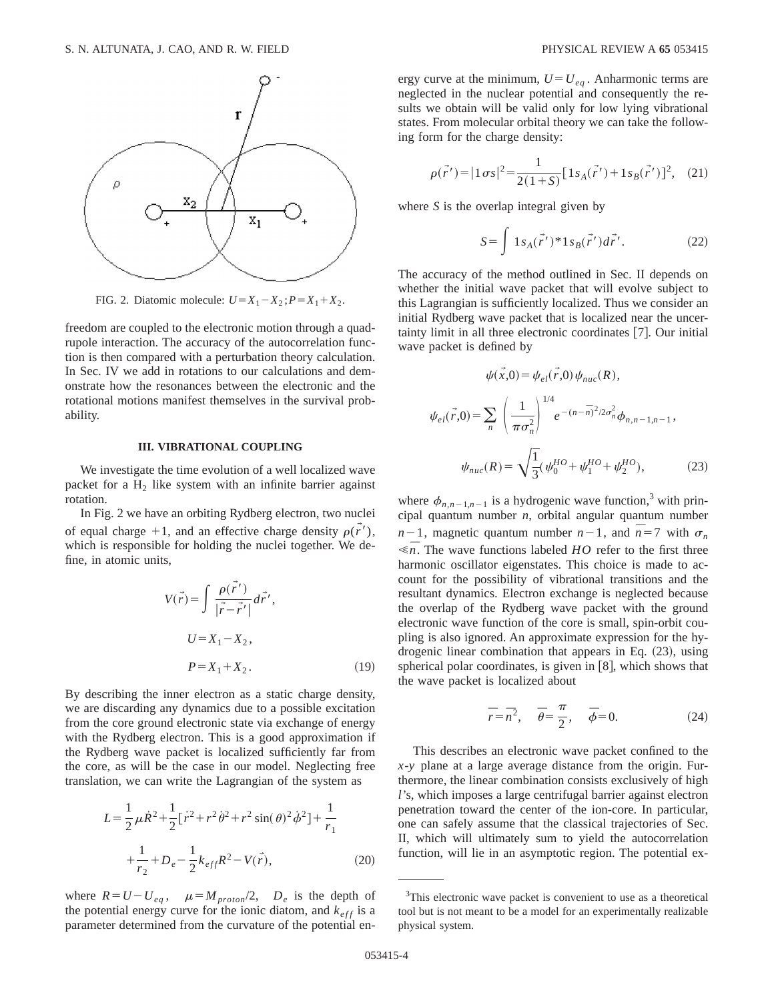

FIG. 2. Diatomic molecule:  $U = X_1 - X_2$ ;  $P = X_1 + X_2$ .

freedom are coupled to the electronic motion through a quadrupole interaction. The accuracy of the autocorrelation function is then compared with a perturbation theory calculation. In Sec. IV we add in rotations to our calculations and demonstrate how the resonances between the electronic and the rotational motions manifest themselves in the survival probability.

### **III. VIBRATIONAL COUPLING**

We investigate the time evolution of a well localized wave packet for a  $H_2$  like system with an infinite barrier against rotation.

In Fig. 2 we have an orbiting Rydberg electron, two nuclei of equal charge  $+1$ , and an effective charge density  $\rho(\vec{r}')$ , which is responsible for holding the nuclei together. We define, in atomic units,

$$
V(\vec{r}) = \int \frac{\rho(\vec{r}')}{|\vec{r} - \vec{r}'|} d\vec{r}',
$$
  
\n
$$
U = X_1 - X_2,
$$
  
\n
$$
P = X_1 + X_2.
$$
 (19)

By describing the inner electron as a static charge density, we are discarding any dynamics due to a possible excitation from the core ground electronic state via exchange of energy with the Rydberg electron. This is a good approximation if the Rydberg wave packet is localized sufficiently far from the core, as will be the case in our model. Neglecting free translation, we can write the Lagrangian of the system as

$$
L = \frac{1}{2}\mu \dot{R}^2 + \frac{1}{2} [\dot{r}^2 + r^2 \dot{\theta}^2 + r^2 \sin(\theta)^2 \dot{\phi}^2] + \frac{1}{r_1} + \frac{1}{r_2} + D_e - \frac{1}{2} k_{eff} R^2 - V(\vec{r}),
$$
 (20)

where  $R = U - U_{eq}$ ,  $\mu = M_{proton}/2$ ,  $D_e$  is the depth of the potential energy curve for the ionic diatom, and  $k_{eff}$  is a parameter determined from the curvature of the potential energy curve at the minimum,  $U = U_{eq}$ . Anharmonic terms are neglected in the nuclear potential and consequently the results we obtain will be valid only for low lying vibrational states. From molecular orbital theory we can take the following form for the charge density:

$$
\rho(\vec{r}') = |1 \sigma s|^2 = \frac{1}{2(1+S)} [1 s_A(\vec{r}') + 1 s_B(\vec{r}')]^2, \quad (21)
$$

where *S* is the overlap integral given by

$$
S = \int 1 s_A(\vec{r}')^* 1 s_B(\vec{r}') d\vec{r}'. \tag{22}
$$

The accuracy of the method outlined in Sec. II depends on whether the initial wave packet that will evolve subject to this Lagrangian is sufficiently localized. Thus we consider an initial Rydberg wave packet that is localized near the uncertainty limit in all three electronic coordinates  $[7]$ . Our initial wave packet is defined by

$$
\psi(\vec{x},0) = \psi_{el}(\vec{r},0)\,\psi_{nuc}(R),
$$

$$
\psi_{el}(\vec{r},0) = \sum_{n} \left(\frac{1}{\pi\sigma_n^2}\right)^{1/4} e^{-(n-\bar{n})^2/2\sigma_n^2}\phi_{n,n-1,n-1},
$$

$$
\psi_{nuc}(R) = \sqrt{\frac{1}{3}}(\psi_0^{HO} + \psi_1^{HO} + \psi_2^{HO}), \qquad (23)
$$

where  $\phi_{n,n-1,n-1}$  is a hydrogenic wave function,<sup>3</sup> with principal quantum number *n*, orbital angular quantum number  $n-1$ , magnetic quantum number  $n-1$ , and  $\overline{n}=7$  with  $\sigma_n$  $\leq \frac{1}{n}$ . The wave functions labeled *HO* refer to the first three harmonic oscillator eigenstates. This choice is made to account for the possibility of vibrational transitions and the resultant dynamics. Electron exchange is neglected because the overlap of the Rydberg wave packet with the ground electronic wave function of the core is small, spin-orbit coupling is also ignored. An approximate expression for the hydrogenic linear combination that appears in Eq.  $(23)$ , using spherical polar coordinates, is given in  $[8]$ , which shows that the wave packet is localized about

$$
\overline{r} = \overline{n}^2, \quad \overline{\theta} = \frac{\pi}{2}, \quad \overline{\phi} = 0.
$$
 (24)

This describes an electronic wave packet confined to the *x*-*y* plane at a large average distance from the origin. Furthermore, the linear combination consists exclusively of high *l*'s, which imposes a large centrifugal barrier against electron penetration toward the center of the ion-core. In particular, one can safely assume that the classical trajectories of Sec. II, which will ultimately sum to yield the autocorrelation function, will lie in an asymptotic region. The potential ex-

<sup>&</sup>lt;sup>3</sup>This electronic wave packet is convenient to use as a theoretical tool but is not meant to be a model for an experimentally realizable physical system.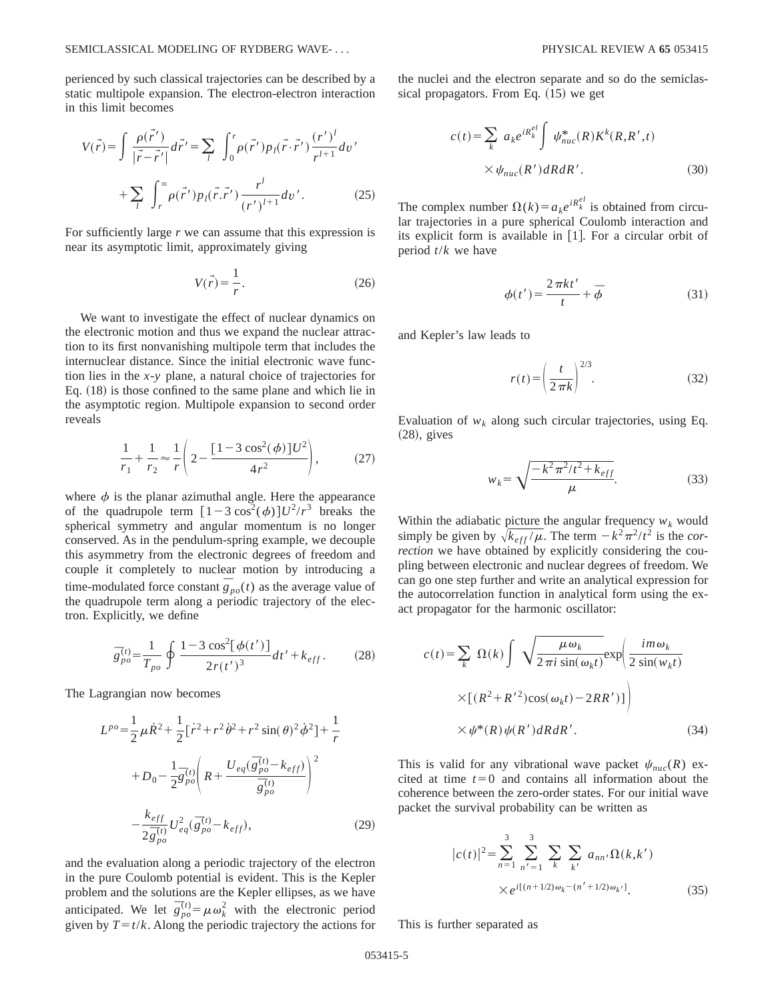perienced by such classical trajectories can be described by a static multipole expansion. The electron-electron interaction in this limit becomes

$$
V(\vec{r}) = \int \frac{\rho(\vec{r}')}{|\vec{r} - \vec{r}'|} d\vec{r}' = \sum_{l} \int_{0}^{r} \rho(\vec{r}') p_{l}(\vec{r} \cdot \vec{r}') \frac{(r')^{l}}{r^{l+1}} dv'
$$
  
+
$$
\sum_{l} \int_{r}^{\infty} \rho(\vec{r}') p_{l}(\vec{r} \cdot \vec{r}') \frac{r^{l}}{(r')^{l+1}} dv'.
$$
 (25)

For sufficiently large *r* we can assume that this expression is near its asymptotic limit, approximately giving

$$
V(\vec{r}) = \frac{1}{r}.\tag{26}
$$

We want to investigate the effect of nuclear dynamics on the electronic motion and thus we expand the nuclear attraction to its first nonvanishing multipole term that includes the internuclear distance. Since the initial electronic wave function lies in the *x*-*y* plane, a natural choice of trajectories for Eq.  $(18)$  is those confined to the same plane and which lie in the asymptotic region. Multipole expansion to second order reveals

$$
\frac{1}{r_1} + \frac{1}{r_2} \approx \frac{1}{r} \left( 2 - \frac{[1 - 3\cos^2(\phi)]U^2}{4r^2} \right),\tag{27}
$$

where  $\phi$  is the planar azimuthal angle. Here the appearance of the quadrupole term  $\left[1-3\cos^2(\phi)\right]U^2/r^3$  breaks the spherical symmetry and angular momentum is no longer conserved. As in the pendulum-spring example, we decouple this asymmetry from the electronic degrees of freedom and couple it completely to nuclear motion by introducing a time-modulated force constant  $\bar{g}_{po}(t)$  as the average value of the quadrupole term along a periodic trajectory of the electron. Explicitly, we define

$$
\bar{g}_{po}^{(t)} = \frac{1}{T_{po}} \oint \frac{1 - 3\cos^2[\phi(t')]}{2r(t')^3} dt' + k_{eff}.
$$
 (28)

The Lagrangian now becomes

$$
L^{po} = \frac{1}{2} \mu \dot{R}^2 + \frac{1}{2} \left[ \dot{r}^2 + r^2 \dot{\theta}^2 + r^2 \sin(\theta)^2 \dot{\phi}^2 \right] + \frac{1}{r}
$$
  
+ 
$$
D_0 - \frac{1}{2} \bar{g}_{po}^{(t)} \left( R + \frac{U_{eq}(\bar{g}_{po}^{(t)} - k_{eff})}{\bar{g}_{po}^{(t)}} \right)^2
$$
  
- 
$$
\frac{k_{eff}}{2} \frac{U_{eq}(\bar{g}_{po}^{(t)} - k_{eff})}{U_{eq}^{2}(\bar{g}_{po}^{(t)} - k_{eff})},
$$
(29)

and the evaluation along a periodic trajectory of the electron in the pure Coulomb potential is evident. This is the Kepler problem and the solutions are the Kepler ellipses, as we have anticipated. We let  $\overline{g}_{po}^{(t)} = \mu \omega_k^2$  with the electronic period given by  $T = t/k$ . Along the periodic trajectory the actions for the nuclei and the electron separate and so do the semiclassical propagators. From Eq.  $(15)$  we get

$$
c(t) = \sum_{k} a_{k} e^{iR_{k}^{el}} \int \psi_{nuc}^{*}(R) K^{k}(R, R', t)
$$

$$
\times \psi_{nuc}(R') dR dR'.
$$
 (30)

The complex number  $\Omega(k) = a_k e^{iR_k^{el}}$  is obtained from circular trajectories in a pure spherical Coulomb interaction and its explicit form is available in  $[1]$ . For a circular orbit of period *t*/*k* we have

$$
\phi(t') = \frac{2\pi kt'}{t} + \overline{\phi}
$$
 (31)

and Kepler's law leads to

$$
r(t) = \left(\frac{t}{2\pi k}\right)^{2/3}.
$$
 (32)

Evaluation of  $w_k$  along such circular trajectories, using Eq.  $(28)$ , gives

$$
w_k = \sqrt{\frac{-k^2 \pi^2 / t^2 + k_{eff}}{\mu}}.
$$
 (33)

Within the adiabatic picture the angular frequency  $w_k$  would simply be given by  $\sqrt{k_{eff}/\mu}$ . The term  $-k^2\pi^2/t^2$  is the *correction* we have obtained by explicitly considering the coupling between electronic and nuclear degrees of freedom. We can go one step further and write an analytical expression for the autocorrelation function in analytical form using the exact propagator for the harmonic oscillator:

$$
c(t) = \sum_{k} \Omega(k) \int \sqrt{\frac{\mu \omega_{k}}{2 \pi i \sin(\omega_{k} t)}} \exp\left(\frac{i m \omega_{k}}{2 \sin(w_{k} t)}\right)
$$

$$
\times [(R^{2} + R'^{2}) \cos(\omega_{k} t) - 2RR')]\right)
$$

$$
\times \psi^{*}(R) \psi(R') dR dR'.
$$
(34)

This is valid for any vibrational wave packet  $\psi_{nuc}(R)$  excited at time  $t=0$  and contains all information about the coherence between the zero-order states. For our initial wave packet the survival probability can be written as

$$
|c(t)|^2 = \sum_{n=1}^3 \sum_{n'=1}^3 \sum_k \sum_{k'} a_{nn'} \Omega(k, k')
$$
  
 
$$
\times e^{i[(n+1/2)\omega_k - (n'+1/2)\omega_{k'}]}.
$$
 (35)

This is further separated as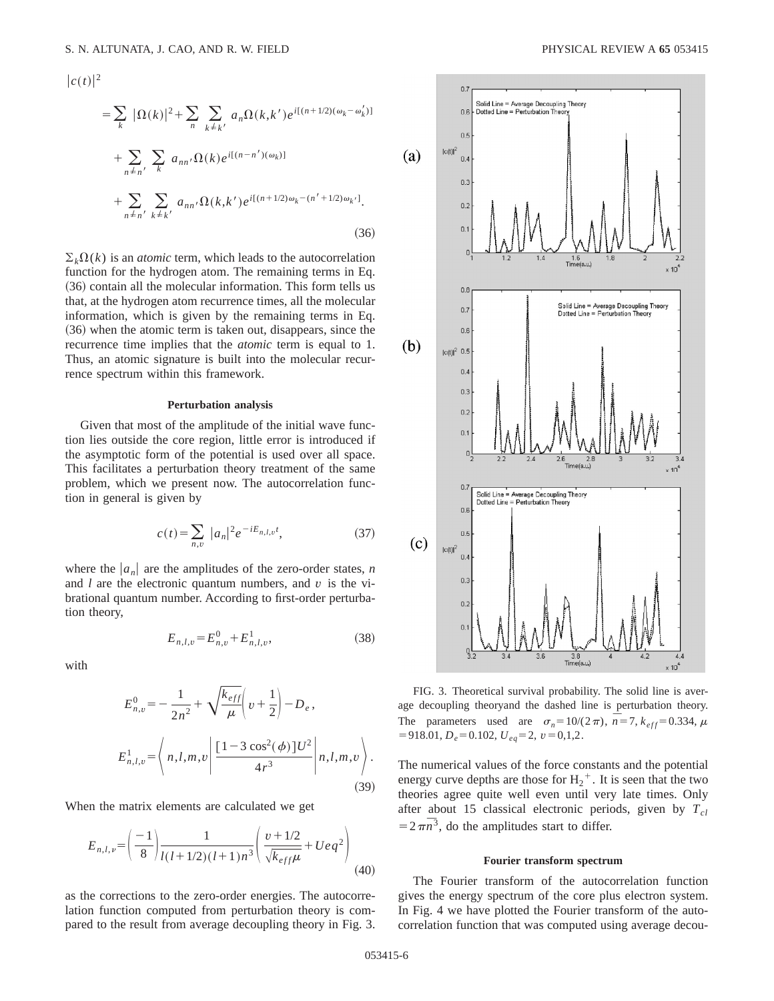$$
|c(t)|^2
$$
  
=  $\sum_{k} |\Omega(k)|^2 + \sum_{n} \sum_{k \neq k'} a_n \Omega(k, k') e^{i[(n+1/2)(\omega_k - \omega'_k)]}$   
+  $\sum_{n \neq n'} \sum_{k} a_{nn'} \Omega(k) e^{i[(n-n')(\omega_k)]}$   
+  $\sum_{n \neq n'} \sum_{k \neq k'} a_{nn'} \Omega(k, k') e^{i[(n+1/2)\omega_k - (n'+1/2)\omega_{k'}]}.$   
(36)

 $\Sigma_k \Omega(k)$  is an *atomic* term, which leads to the autocorrelation function for the hydrogen atom. The remaining terms in Eq.  $(36)$  contain all the molecular information. This form tells us that, at the hydrogen atom recurrence times, all the molecular information, which is given by the remaining terms in Eq.  $(36)$  when the atomic term is taken out, disappears, since the recurrence time implies that the *atomic* term is equal to 1. Thus, an atomic signature is built into the molecular recurrence spectrum within this framework.

#### **Perturbation analysis**

Given that most of the amplitude of the initial wave function lies outside the core region, little error is introduced if the asymptotic form of the potential is used over all space. This facilitates a perturbation theory treatment of the same problem, which we present now. The autocorrelation function in general is given by

$$
c(t) = \sum_{n,v} |a_n|^2 e^{-iE_{n,l,v}t},
$$
\n(37)

where the  $|a_n|$  are the amplitudes of the zero-order states, *n* and *l* are the electronic quantum numbers, and *v* is the vibrational quantum number. According to first-order perturbation theory,

$$
E_{n,l,v} = E_{n,v}^0 + E_{n,l,v}^1,\tag{38}
$$

with

$$
E_{n,v}^{0} = -\frac{1}{2n^2} + \sqrt{\frac{k_{eff}}{\mu}} \left( v + \frac{1}{2} \right) - D_e,
$$
  

$$
E_{n,l,v}^{1} = \left\langle n, l, m, v \right| \frac{\left[ 1 - 3 \cos^2(\phi) \right] U^2}{4r^3} \Bigg| n, l, m, v \right\rangle.
$$
 (39)

When the matrix elements are calculated we get

$$
E_{n,l,\nu} = \left(\frac{-1}{8}\right) \frac{1}{l(l+1/2)(l+1)n^3} \left(\frac{\nu+1/2}{\sqrt{k_{eff}\mu}} + Ueq^2\right)
$$
(40)

as the corrections to the zero-order energies. The autocorrelation function computed from perturbation theory is compared to the result from average decoupling theory in Fig. 3.



FIG. 3. Theoretical survival probability. The solid line is average decoupling theoryand the dashed line is perturbation theory. The parameters used are  $\sigma_n = 10/(2\pi)$ ,  $\overline{n} = 7$ ,  $k_{eff} = 0.334$ ,  $\mu$  $=918.01, D_e=0.102, U_{eq}=2, v=0.1,2.$ 

The numerical values of the force constants and the potential energy curve depths are those for  $H_2^+$ . It is seen that the two theories agree quite well even until very late times. Only after about 15 classical electronic periods, given by  $T_{cl}$  $= 2 \pi \bar{n}^3$ , do the amplitudes start to differ.

#### **Fourier transform spectrum**

The Fourier transform of the autocorrelation function gives the energy spectrum of the core plus electron system. In Fig. 4 we have plotted the Fourier transform of the autocorrelation function that was computed using average decou-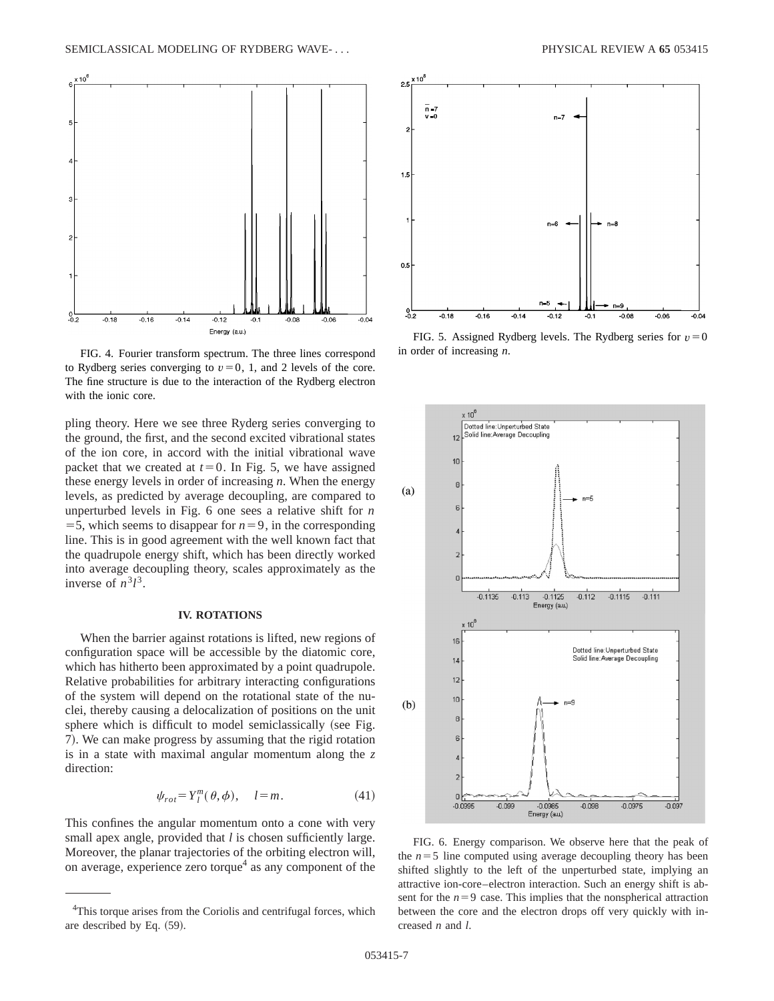

FIG. 4. Fourier transform spectrum. The three lines correspond to Rydberg series converging to  $v=0, 1$ , and 2 levels of the core. The fine structure is due to the interaction of the Rydberg electron with the ionic core.

pling theory. Here we see three Ryderg series converging to the ground, the first, and the second excited vibrational states of the ion core, in accord with the initial vibrational wave packet that we created at  $t=0$ . In Fig. 5, we have assigned these energy levels in order of increasing *n*. When the energy levels, as predicted by average decoupling, are compared to unperturbed levels in Fig. 6 one sees a relative shift for *n*  $=$  5, which seems to disappear for  $n=9$ , in the corresponding line. This is in good agreement with the well known fact that the quadrupole energy shift, which has been directly worked into average decoupling theory, scales approximately as the inverse of  $n^3 l^3$ .

#### **IV. ROTATIONS**

When the barrier against rotations is lifted, new regions of configuration space will be accessible by the diatomic core, which has hitherto been approximated by a point quadrupole. Relative probabilities for arbitrary interacting configurations of the system will depend on the rotational state of the nuclei, thereby causing a delocalization of positions on the unit sphere which is difficult to model semiclassically (see Fig. 7). We can make progress by assuming that the rigid rotation is in a state with maximal angular momentum along the *z* direction:

$$
\psi_{rot} = Y_l^m(\theta, \phi), \quad l = m. \tag{41}
$$

This confines the angular momentum onto a cone with very small apex angle, provided that *l* is chosen sufficiently large. Moreover, the planar trajectories of the orbiting electron will, on average, experience zero torque<sup>4</sup> as any component of the



FIG. 5. Assigned Rydberg levels. The Rydberg series for  $v=0$ in order of increasing *n*.



FIG. 6. Energy comparison. We observe here that the peak of the  $n=5$  line computed using average decoupling theory has been shifted slightly to the left of the unperturbed state, implying an attractive ion-core–electron interaction. Such an energy shift is absent for the  $n=9$  case. This implies that the nonspherical attraction between the core and the electron drops off very quickly with increased *n* and *l*.

<sup>&</sup>lt;sup>4</sup>This torque arises from the Coriolis and centrifugal forces, which are described by Eq.  $(59)$ .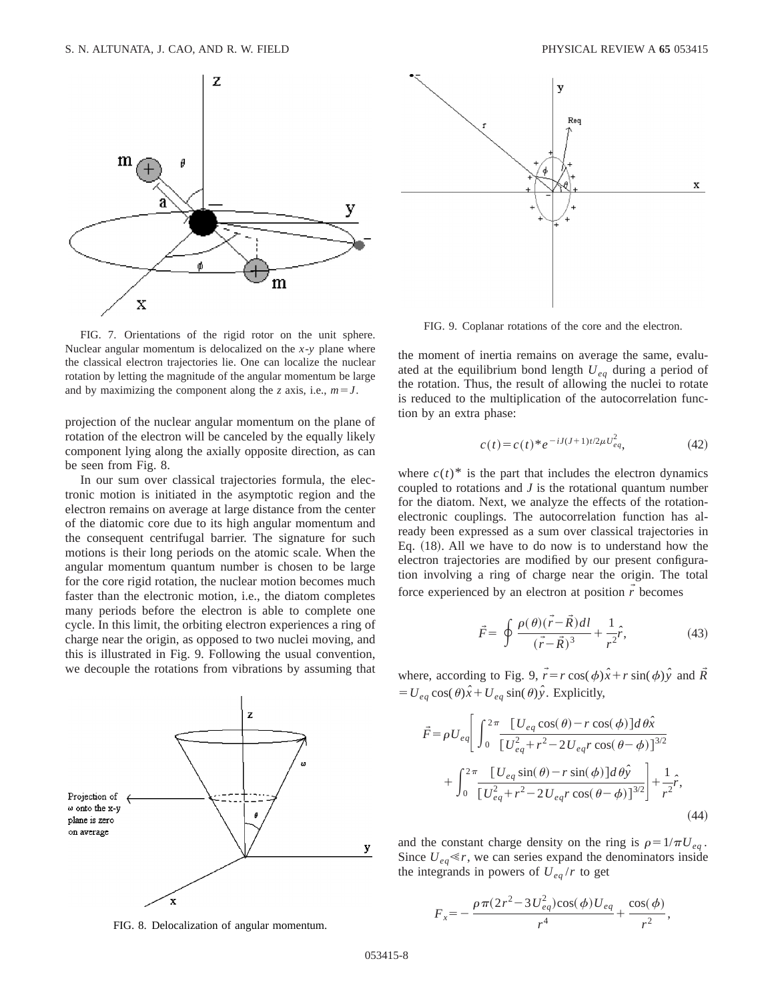

FIG. 7. Orientations of the rigid rotor on the unit sphere. Nuclear angular momentum is delocalized on the *x*-*y* plane where the classical electron trajectories lie. One can localize the nuclear rotation by letting the magnitude of the angular momentum be large and by maximizing the component along the *z* axis, i.e.,  $m = J$ .

projection of the nuclear angular momentum on the plane of rotation of the electron will be canceled by the equally likely component lying along the axially opposite direction, as can be seen from Fig. 8.

In our sum over classical trajectories formula, the electronic motion is initiated in the asymptotic region and the electron remains on average at large distance from the center of the diatomic core due to its high angular momentum and the consequent centrifugal barrier. The signature for such motions is their long periods on the atomic scale. When the angular momentum quantum number is chosen to be large for the core rigid rotation, the nuclear motion becomes much faster than the electronic motion, i.e., the diatom completes many periods before the electron is able to complete one cycle. In this limit, the orbiting electron experiences a ring of charge near the origin, as opposed to two nuclei moving, and this is illustrated in Fig. 9. Following the usual convention, we decouple the rotations from vibrations by assuming that



FIG. 8. Delocalization of angular momentum.



FIG. 9. Coplanar rotations of the core and the electron.

the moment of inertia remains on average the same, evaluated at the equilibrium bond length *Ueq* during a period of the rotation. Thus, the result of allowing the nuclei to rotate is reduced to the multiplication of the autocorrelation function by an extra phase:

$$
c(t) = c(t)^{*}e^{-iJ(J+1)t/2\mu U_{eq}^{2}},
$$
\n(42)

where  $c(t)^*$  is the part that includes the electron dynamics coupled to rotations and *J* is the rotational quantum number for the diatom. Next, we analyze the effects of the rotationelectronic couplings. The autocorrelation function has already been expressed as a sum over classical trajectories in Eq.  $(18)$ . All we have to do now is to understand how the electron trajectories are modified by our present configuration involving a ring of charge near the origin. The total force experienced by an electron at position  $\vec{r}$  becomes

$$
\vec{F} = \oint \frac{\rho(\theta)(\vec{r} - \vec{R})dl}{(\vec{r} - \vec{R})^3} + \frac{1}{r^2}\hat{r},
$$
 (43)

where, according to Fig. 9,  $\vec{r} = r \cos(\phi)\hat{x} + r \sin(\phi)\hat{y}$  and  $\vec{R}$  $=U_{eq}\cos(\theta)\hat{x}+U_{eq}\sin(\theta)\hat{y}$ . Explicitly,

$$
\vec{F} = \rho U_{eq} \left[ \int_0^{2\pi} \frac{[U_{eq}\cos(\theta) - r\cos(\phi)]d\theta \hat{x}}{[U_{eq}^2 + r^2 - 2U_{eq}r\cos(\theta - \phi)]^{3/2}} + \int_0^{2\pi} \frac{[U_{eq}\sin(\theta) - r\sin(\phi)]d\theta \hat{y}}{[U_{eq}^2 + r^2 - 2U_{eq}r\cos(\theta - \phi)]^{3/2}} \right] + \frac{1}{r^2} \hat{r},
$$
\n(44)

and the constant charge density on the ring is  $\rho=1/\pi U_{eq}$ . Since  $U_{eq} \ll r$ , we can series expand the denominators inside the integrands in powers of  $U_{eq}/r$  to get

$$
F_x = -\frac{\rho \pi (2r^2 - 3U_{eq}^2)\cos(\phi)U_{eq}}{r^4} + \frac{\cos(\phi)}{r^2},
$$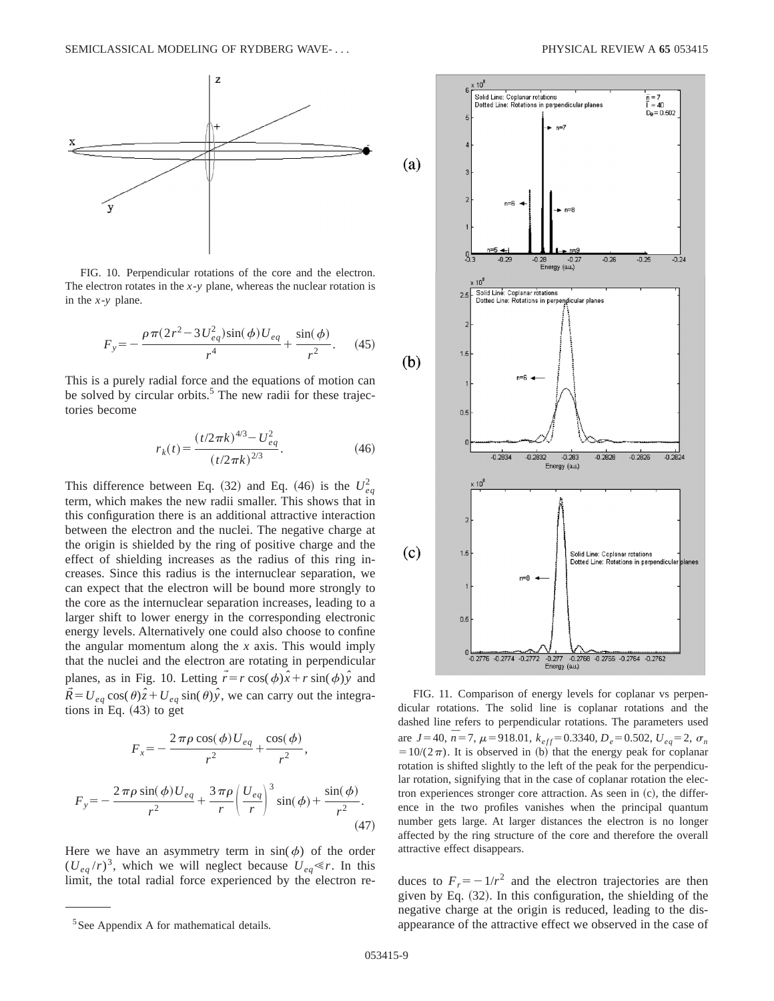

FIG. 10. Perpendicular rotations of the core and the electron. The electron rotates in the *x*-*y* plane, whereas the nuclear rotation is in the *x*-*y* plane.

$$
F_y = -\frac{\rho \pi (2r^2 - 3U_{eq}^2) \sin(\phi) U_{eq}}{r^4} + \frac{\sin(\phi)}{r^2}.
$$
 (45)

This is a purely radial force and the equations of motion can be solved by circular orbits. $5$  The new radii for these trajectories become

$$
r_k(t) = \frac{(t/2\pi k)^{4/3} - U_{eq}^2}{(t/2\pi k)^{2/3}}.
$$
 (46)

This difference between Eq. (32) and Eq. (46) is the  $U_{eq}^2$ term, which makes the new radii smaller. This shows that in this configuration there is an additional attractive interaction between the electron and the nuclei. The negative charge at the origin is shielded by the ring of positive charge and the effect of shielding increases as the radius of this ring increases. Since this radius is the internuclear separation, we can expect that the electron will be bound more strongly to the core as the internuclear separation increases, leading to a larger shift to lower energy in the corresponding electronic energy levels. Alternatively one could also choose to confine the angular momentum along the *x* axis. This would imply that the nuclei and the electron are rotating in perpendicular planes, as in Fig. 10. Letting  $\vec{r} = r \cos(\phi)\hat{x} + r \sin(\phi)\hat{y}$  and  $\vec{R} = U_{eq} \cos(\theta) \hat{z} + U_{eq} \sin(\theta) \hat{y}$ , we can carry out the integrations in Eq.  $(43)$  to get

$$
F_x = -\frac{2\pi\rho\cos(\phi)U_{eq}}{r^2} + \frac{\cos(\phi)}{r^2},
$$
  

$$
F_y = -\frac{2\pi\rho\sin(\phi)U_{eq}}{r^2} + \frac{3\pi\rho}{r}\left(\frac{U_{eq}}{r}\right)^3\sin(\phi) + \frac{\sin(\phi)}{r^2}.
$$
 (47)

Here we have an asymmetry term in  $sin(\phi)$  of the order  $(U_{eq}/r)^3$ , which we will neglect because  $U_{eq} \ll r$ . In this limit, the total radial force experienced by the electron re-



FIG. 11. Comparison of energy levels for coplanar vs perpendicular rotations. The solid line is coplanar rotations and the dashed line refers to perpendicular rotations. The parameters used are  $J=40$ ,  $\bar{n}=7$ ,  $\mu=918.01$ ,  $k_{eff}=0.3340$ ,  $D_e=0.502$ ,  $U_{eq}=2$ ,  $\sigma_n$  $=10/(2\pi)$ . It is observed in (b) that the energy peak for coplanar rotation is shifted slightly to the left of the peak for the perpendicular rotation, signifying that in the case of coplanar rotation the electron experiences stronger core attraction. As seen in  $(c)$ , the difference in the two profiles vanishes when the principal quantum number gets large. At larger distances the electron is no longer affected by the ring structure of the core and therefore the overall attractive effect disappears.

duces to  $F_r = -1/r^2$  and the electron trajectories are then given by Eq.  $(32)$ . In this configuration, the shielding of the negative charge at the origin is reduced, leading to the dis-<sup>5</sup> See Appendix A for mathematical details. **See Appendix A for mathematical details. See Appendix A for mathematical details. A see Appendix A for mathematical details. A s**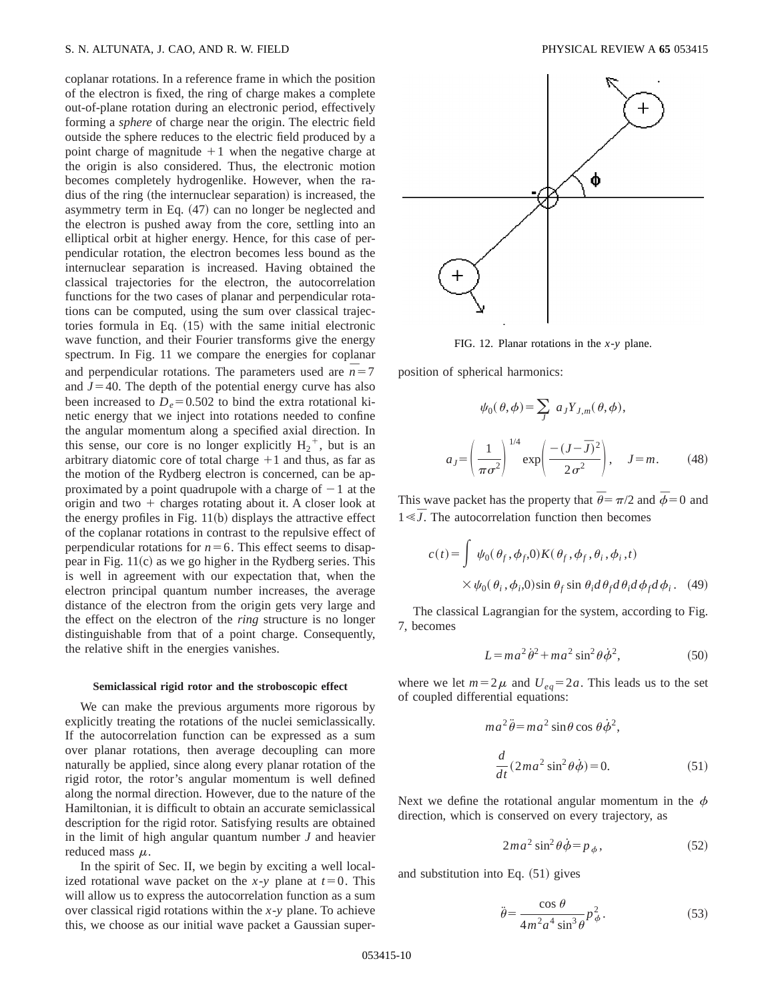coplanar rotations. In a reference frame in which the position of the electron is fixed, the ring of charge makes a complete out-of-plane rotation during an electronic period, effectively forming a *sphere* of charge near the origin. The electric field outside the sphere reduces to the electric field produced by a point charge of magnitude  $+1$  when the negative charge at the origin is also considered. Thus, the electronic motion becomes completely hydrogenlike. However, when the radius of the ring (the internuclear separation) is increased, the asymmetry term in Eq.  $(47)$  can no longer be neglected and the electron is pushed away from the core, settling into an elliptical orbit at higher energy. Hence, for this case of perpendicular rotation, the electron becomes less bound as the internuclear separation is increased. Having obtained the classical trajectories for the electron, the autocorrelation functions for the two cases of planar and perpendicular rotations can be computed, using the sum over classical trajectories formula in Eq.  $(15)$  with the same initial electronic wave function, and their Fourier transforms give the energy spectrum. In Fig. 11 we compare the energies for coplanar and perpendicular rotations. The parameters used are  $\overline{n} = 7$ and  $J=40$ . The depth of the potential energy curve has also been increased to  $D_e$ =0.502 to bind the extra rotational kinetic energy that we inject into rotations needed to confine the angular momentum along a specified axial direction. In this sense, our core is no longer explicitly  $H_2^+$ , but is an arbitrary diatomic core of total charge  $+1$  and thus, as far as the motion of the Rydberg electron is concerned, can be approximated by a point quadrupole with a charge of  $-1$  at the origin and two  $+$  charges rotating about it. A closer look at the energy profiles in Fig.  $11(b)$  displays the attractive effect of the coplanar rotations in contrast to the repulsive effect of perpendicular rotations for  $n=6$ . This effect seems to disappear in Fig.  $11(c)$  as we go higher in the Rydberg series. This is well in agreement with our expectation that, when the electron principal quantum number increases, the average distance of the electron from the origin gets very large and the effect on the electron of the *ring* structure is no longer distinguishable from that of a point charge. Consequently, the relative shift in the energies vanishes.

# **Semiclassical rigid rotor and the stroboscopic effect**

We can make the previous arguments more rigorous by explicitly treating the rotations of the nuclei semiclassically. If the autocorrelation function can be expressed as a sum over planar rotations, then average decoupling can more naturally be applied, since along every planar rotation of the rigid rotor, the rotor's angular momentum is well defined along the normal direction. However, due to the nature of the Hamiltonian, it is difficult to obtain an accurate semiclassical description for the rigid rotor. Satisfying results are obtained in the limit of high angular quantum number *J* and heavier reduced mass  $\mu$ .

In the spirit of Sec. II, we begin by exciting a well localized rotational wave packet on the *x*-*y* plane at  $t=0$ . This will allow us to express the autocorrelation function as a sum over classical rigid rotations within the *x*-*y* plane. To achieve this, we choose as our initial wave packet a Gaussian super-



FIG. 12. Planar rotations in the *x*-*y* plane.

position of spherical harmonics:

$$
\psi_0(\theta, \phi) = \sum_j a_j Y_{J,m}(\theta, \phi),
$$

$$
a_j = \left(\frac{1}{\pi \sigma^2}\right)^{1/4} \exp\left(\frac{-(J - \overline{J})^2}{2\sigma^2}\right), \quad J = m. \tag{48}
$$

This wave packet has the property that  $\bar{\theta} = \pi/2$  and  $\bar{\phi} = 0$  and  $1 \le \overline{J}$ . The autocorrelation function then becomes

$$
c(t) = \int \psi_0(\theta_f, \phi_f, 0) K(\theta_f, \phi_f, \theta_i, \phi_i, t)
$$

$$
\times \psi_0(\theta_i, \phi_i, 0) \sin \theta_f \sin \theta_i d\theta_f d\phi_f d\phi_i. \quad (49)
$$

The classical Lagrangian for the system, according to Fig. 7, becomes

$$
L = ma^2 \dot{\theta}^2 + ma^2 \sin^2 \theta \dot{\phi}^2, \tag{50}
$$

where we let  $m=2\mu$  and  $U_{eq}=2a$ . This leads us to the set of coupled differential equations:

$$
ma^{2} \ddot{\theta} = ma^{2} \sin \theta \cos \theta \dot{\phi}^{2},
$$

$$
\frac{d}{dt} (2ma^{2} \sin^{2} \theta \dot{\phi}) = 0.
$$
(51)

Next we define the rotational angular momentum in the  $\phi$ direction, which is conserved on every trajectory, as

$$
2ma^2\sin^2\theta \dot{\phi} = p_{\phi},\qquad(52)
$$

and substitution into Eq.  $(51)$  gives

$$
\ddot{\theta} = \frac{\cos \theta}{4m^2 a^4 \sin^3 \theta} p_\phi^2.
$$
 (53)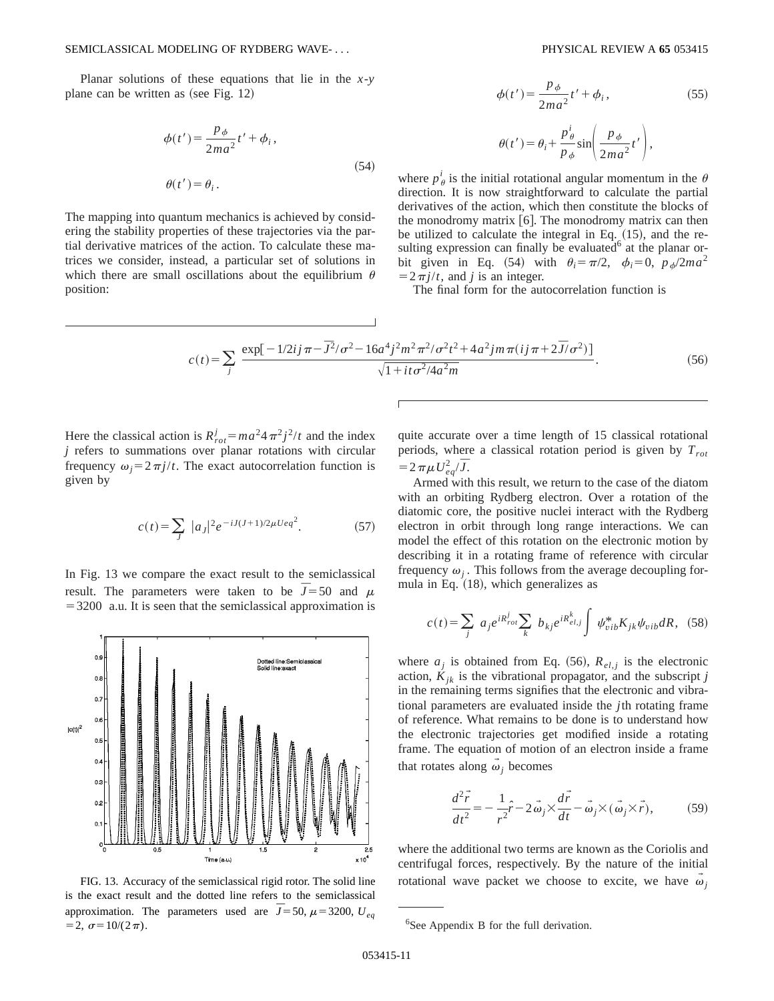Planar solutions of these equations that lie in the *x*-*y* plane can be written as (see Fig.  $12$ )

$$
\phi(t') = \frac{p_{\phi}}{2ma^2}t' + \phi_i,
$$
  

$$
\theta(t') = \theta_i.
$$
 (54)

The mapping into quantum mechanics is achieved by considering the stability properties of these trajectories via the partial derivative matrices of the action. To calculate these matrices we consider, instead, a particular set of solutions in which there are small oscillations about the equilibrium  $\theta$ position:

$$
\phi(t') = \frac{p_{\phi}}{2ma^2}t' + \phi_i,
$$
\n(55)

$$
\theta(t') = \theta_i + \frac{p_{\theta}^i}{p_{\phi}} \sin\left(\frac{p_{\phi}}{2ma^2}t'\right),
$$

where  $p_{\theta}^{i}$  is the initial rotational angular momentum in the  $\theta$ direction. It is now straightforward to calculate the partial derivatives of the action, which then constitute the blocks of the monodromy matrix  $[6]$ . The monodromy matrix can then be utilized to calculate the integral in Eq.  $(15)$ , and the resulting expression can finally be evaluated $6$  at the planar orbit given in Eq. (54) with  $\theta_i = \pi/2$ ,  $\phi_i = 0$ ,  $p_{\phi}/2ma^2$  $=2\pi i/t$ , and *j* is an integer.

The final form for the autocorrelation function is

$$
c(t) = \sum_{j} \frac{\exp[-1/2ij\pi - \overline{J}^2/\sigma^2 - 16a^4j^2m^2\pi^2/\sigma^2t^2 + 4a^2jm\pi(ij\pi + 2\overline{J}/\sigma^2)]}{\sqrt{1 + it\sigma^2/4a^2m}}.
$$
 (56)

Here the classical action is  $R_{rot}^j = ma^2 4 \pi^2 j^2/t$  and the index *j* refers to summations over planar rotations with circular frequency  $\omega_i = 2\pi j/t$ . The exact autocorrelation function is given by

$$
c(t) = \sum_{J} |a_{J}|^{2} e^{-iJ(J+1)/2\mu Ueq^{2}}.
$$
 (57)

In Fig. 13 we compare the exact result to the semiclassical result. The parameters were taken to be  $\bar{J} = 50$  and  $\mu$  $=$  3200 a.u. It is seen that the semiclassical approximation is



FIG. 13. Accuracy of the semiclassical rigid rotor. The solid line is the exact result and the dotted line refers to the semiclassical approximation. The parameters used are  $\bar{J} = 50$ ,  $\mu = 3200$ ,  $U_{eq}$  $=2, \sigma=10/(2\pi).$ 

quite accurate over a time length of 15 classical rotational periods, where a classical rotation period is given by  $T_{rot}$  $= 2 \pi \mu U_{eq}^2 / \bar{J}.$ 

Armed with this result, we return to the case of the diatom with an orbiting Rydberg electron. Over a rotation of the diatomic core, the positive nuclei interact with the Rydberg electron in orbit through long range interactions. We can model the effect of this rotation on the electronic motion by describing it in a rotating frame of reference with circular frequency  $\omega_i$ . This follows from the average decoupling formula in Eq.  $(18)$ , which generalizes as

$$
c(t) = \sum_{j} a_{j} e^{iR_{rot}^{j}} \sum_{k} b_{kj} e^{iR_{el,j}^{k}} \int \psi_{vib}^{*} K_{jk} \psi_{vib} dR, (58)
$$

where  $a_j$  is obtained from Eq. (56),  $R_{el,j}$  is the electronic action,  $K_{ik}$  is the vibrational propagator, and the subscript *j* in the remaining terms signifies that the electronic and vibrational parameters are evaluated inside the *j*th rotating frame of reference. What remains to be done is to understand how the electronic trajectories get modified inside a rotating frame. The equation of motion of an electron inside a frame that rotates along  $\omega_i$  becomes

$$
\frac{d^2\vec{r}}{dt^2} = -\frac{1}{r^2}\hat{r} - 2\vec{\omega}_j \times \frac{d\vec{r}}{dt} - \vec{\omega}_j \times (\vec{\omega}_j \times \vec{r}),\tag{59}
$$

where the additional two terms are known as the Coriolis and centrifugal forces, respectively. By the nature of the initial rotational wave packet we choose to excite, we have  $\omega_i$ 

<sup>6</sup> See Appendix B for the full derivation.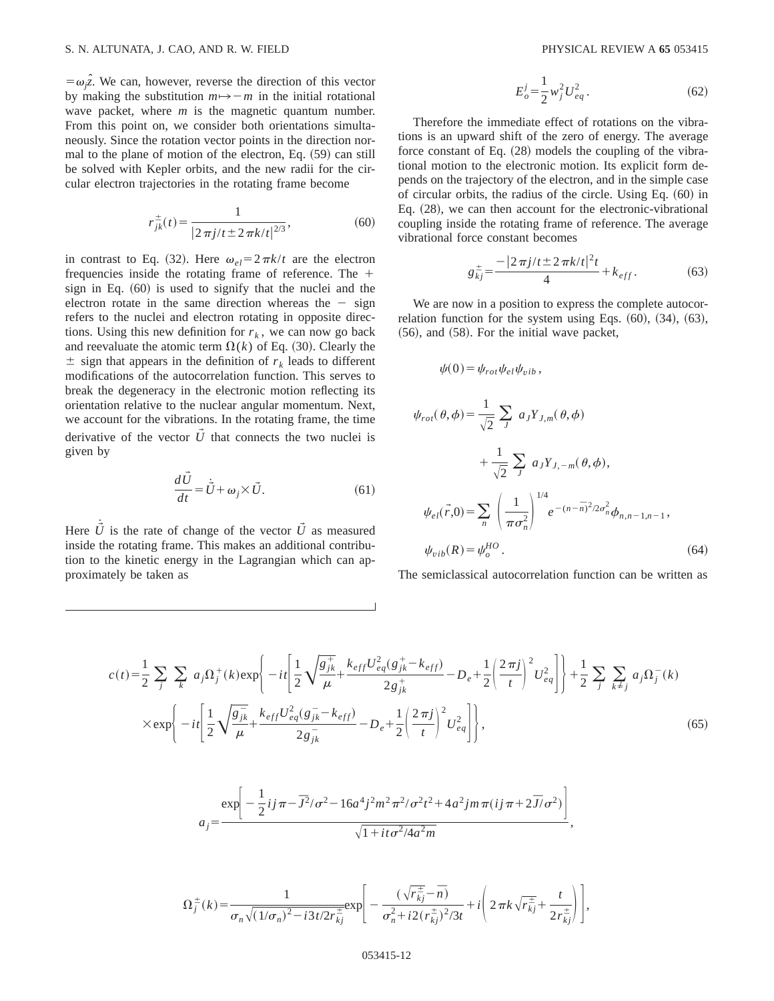$=\omega_j \hat{z}$ . We can, however, reverse the direction of this vector by making the substitution  $m \rightarrow -m$  in the initial rotational wave packet, where *m* is the magnetic quantum number. From this point on, we consider both orientations simultaneously. Since the rotation vector points in the direction normal to the plane of motion of the electron, Eq.  $(59)$  can still be solved with Kepler orbits, and the new radii for the circular electron trajectories in the rotating frame become

$$
r_{jk}^{\pm}(t) = \frac{1}{|2\pi j/t \pm 2\pi k/t|^{2/3}},
$$
\n(60)

in contrast to Eq. (32). Here  $\omega_{el} = 2 \pi k / t$  are the electron frequencies inside the rotating frame of reference. The  $+$ sign in Eq.  $(60)$  is used to signify that the nuclei and the electron rotate in the same direction whereas the  $-$  sign refers to the nuclei and electron rotating in opposite directions. Using this new definition for  $r_k$ , we can now go back and reevaluate the atomic term  $\Omega(k)$  of Eq. (30). Clearly the  $\pm$  sign that appears in the definition of  $r_k$  leads to different modifications of the autocorrelation function. This serves to break the degeneracy in the electronic motion reflecting its orientation relative to the nuclear angular momentum. Next, we account for the vibrations. In the rotating frame, the time derivative of the vector  $\vec{U}$  that connects the two nuclei is given by

$$
\frac{d\vec{U}}{dt} = \dot{\vec{U}} + \omega_j \times \vec{U}.
$$
 (61)

Here  $\dot{\vec{U}}$  is the rate of change of the vector  $\vec{U}$  as measured inside the rotating frame. This makes an additional contribution to the kinetic energy in the Lagrangian which can approximately be taken as

$$
E_o^j = \frac{1}{2} w_j^2 U_{eq}^2.
$$
 (62)

Therefore the immediate effect of rotations on the vibrations is an upward shift of the zero of energy. The average force constant of Eq.  $(28)$  models the coupling of the vibrational motion to the electronic motion. Its explicit form depends on the trajectory of the electron, and in the simple case of circular orbits, the radius of the circle. Using Eq.  $(60)$  in Eq.  $(28)$ , we can then account for the electronic-vibrational coupling inside the rotating frame of reference. The average vibrational force constant becomes

$$
g_{kj}^{\pm} = \frac{-|2\pi j/t \pm 2\pi k/t|^2 t}{4} + k_{eff}.
$$
 (63)

We are now in a position to express the complete autocorrelation function for the system using Eqs.  $(60)$ ,  $(34)$ ,  $(63)$ ,  $(56)$ , and  $(58)$ . For the initial wave packet,

$$
\psi(0) = \psi_{rot}\psi_{el}\psi_{vib},
$$
  

$$
\psi_{rot}(\theta,\phi) = \frac{1}{\sqrt{2}} \sum_{j} a_{j} Y_{j,m}(\theta,\phi)
$$

$$
+ \frac{1}{\sqrt{2}} \sum_{j} a_{j} Y_{j,-m}(\theta,\phi),
$$

$$
\psi_{el}(\vec{r},0) = \sum_{n} \left(\frac{1}{\pi \sigma_{n}^{2}}\right)^{1/4} e^{-(n-\bar{n})^{2}/2\sigma_{n}^{2}} \phi_{n,n-1,n-1},
$$

$$
\psi_{vib}(R) = \psi_{o}^{HO}. \qquad (64)
$$

The semiclassical autocorrelation function can be written as

$$
c(t) = \frac{1}{2} \sum_{j} \sum_{k} a_{j} \Omega_{j}^{+}(k) \exp\left\{-it \left[\frac{1}{2} \sqrt{\frac{g_{jk}^{+}}{\mu}} + \frac{k_{eff} U_{eq}^{2}(g_{jk}^{+} - k_{eff})}{2g_{jk}^{+}} - D_{e} + \frac{1}{2} \left(\frac{2\pi j}{t}\right)^{2} U_{eq}^{2}\right]\right\} + \frac{1}{2} \sum_{j} \sum_{k \neq j} a_{j} \Omega_{j}^{-}(k)
$$

$$
\times \exp\left\{-it \left[\frac{1}{2} \sqrt{\frac{g_{jk}^{-}}{\mu}} + \frac{k_{eff} U_{eq}^{2}(g_{jk}^{-} - k_{eff})}{2g_{jk}^{-}} - D_{e} + \frac{1}{2} \left(\frac{2\pi j}{t}\right)^{2} U_{eq}^{2}\right]\right\},
$$
(65)

$$
a_j = \frac{\exp\left[-\frac{1}{2}ij\,\pi - \overline{J}^2/\sigma^2 - 16a^4j^2m^2\pi^2/\sigma^2t^2 + 4a^2jm\,\pi(ij\,\pi + 2\overline{J}/\sigma^2)\right]}{\sqrt{1 + it\,\sigma^2/4a^2m}},
$$

$$
\Omega_j^{\pm}(k) = \frac{1}{\sigma_n \sqrt{(1/\sigma_n)^2 - i3t/2r_{kj}^{\pm}}} \exp\Bigg[ -\frac{(\sqrt{r_{kj}^{\pm}} - \overline{n})}{\sigma_n^2 + i2(r_{kj}^{\pm})^2/3t} + i\Bigg( 2\pi k \sqrt{r_{kj}^{\pm}} + \frac{t}{2r_{kj}^{\pm}} \Bigg) \Bigg],
$$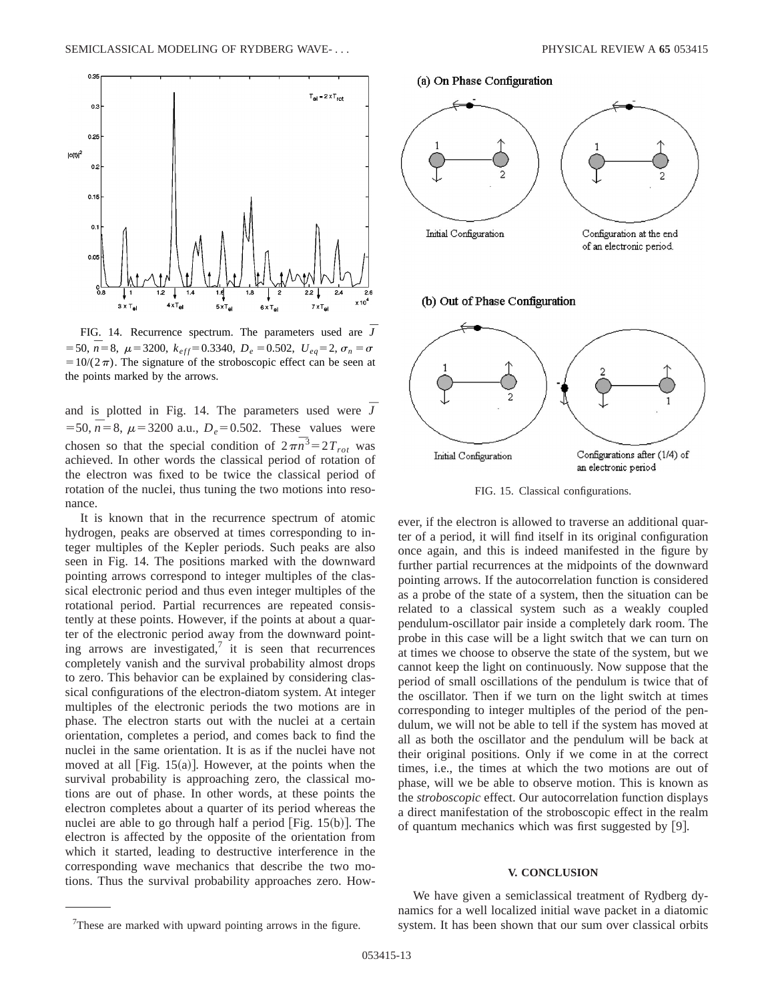

FIG. 14. Recurrence spectrum. The parameters used are  $\bar{J}$  $=$  50,  $\bar{n}$  = 8,  $\mu$  = 3200,  $k_{eff}$  = 0.3340,  $D_e$  = 0.502,  $U_{eq}$  = 2,  $\sigma_n$  =  $\sigma$  $=10/(2\pi)$ . The signature of the stroboscopic effect can be seen at the points marked by the arrows.

and is plotted in Fig. 14. The parameters used were  $\bar{J}$  $=$  50,  $\overline{n}$  = 8,  $\mu$  = 3200 a.u.,  $D_e$  = 0.502. These values were chosen so that the special condition of  $2\pi \overline{n}^3 = 2T_{rot}$  was achieved. In other words the classical period of rotation of the electron was fixed to be twice the classical period of rotation of the nuclei, thus tuning the two motions into resonance.

It is known that in the recurrence spectrum of atomic hydrogen, peaks are observed at times corresponding to integer multiples of the Kepler periods. Such peaks are also seen in Fig. 14. The positions marked with the downward pointing arrows correspond to integer multiples of the classical electronic period and thus even integer multiples of the rotational period. Partial recurrences are repeated consistently at these points. However, if the points at about a quarter of the electronic period away from the downward pointing arrows are investigated,<sup>7</sup> it is seen that recurrences completely vanish and the survival probability almost drops to zero. This behavior can be explained by considering classical configurations of the electron-diatom system. At integer multiples of the electronic periods the two motions are in phase. The electron starts out with the nuclei at a certain orientation, completes a period, and comes back to find the nuclei in the same orientation. It is as if the nuclei have not moved at all [Fig.  $15(a)$ ]. However, at the points when the survival probability is approaching zero, the classical motions are out of phase. In other words, at these points the electron completes about a quarter of its period whereas the nuclei are able to go through half a period  $[Fig. 15(b)].$  The electron is affected by the opposite of the orientation from which it started, leading to destructive interference in the corresponding wave mechanics that describe the two motions. Thus the survival probability approaches zero. How-



FIG. 15. Classical configurations.

ever, if the electron is allowed to traverse an additional quarter of a period, it will find itself in its original configuration once again, and this is indeed manifested in the figure by further partial recurrences at the midpoints of the downward pointing arrows. If the autocorrelation function is considered as a probe of the state of a system, then the situation can be related to a classical system such as a weakly coupled pendulum-oscillator pair inside a completely dark room. The probe in this case will be a light switch that we can turn on at times we choose to observe the state of the system, but we cannot keep the light on continuously. Now suppose that the period of small oscillations of the pendulum is twice that of the oscillator. Then if we turn on the light switch at times corresponding to integer multiples of the period of the pendulum, we will not be able to tell if the system has moved at all as both the oscillator and the pendulum will be back at their original positions. Only if we come in at the correct times, i.e., the times at which the two motions are out of phase, will we be able to observe motion. This is known as the *stroboscopic* effect. Our autocorrelation function displays a direct manifestation of the stroboscopic effect in the realm of quantum mechanics which was first suggested by  $[9]$ .

#### **V. CONCLUSION**

We have given a semiclassical treatment of Rydberg dynamics for a well localized initial wave packet in a diatomic system. It has been shown that our sum over classical orbits <sup>7</sup>

 $7$ These are marked with upward pointing arrows in the figure.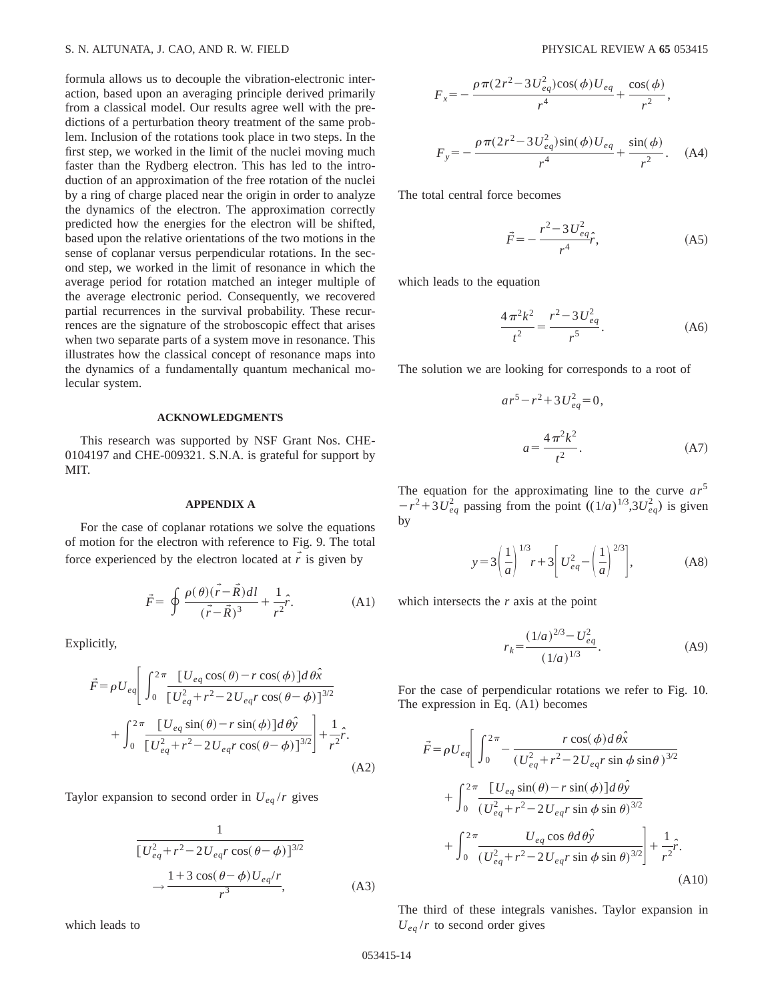formula allows us to decouple the vibration-electronic interaction, based upon an averaging principle derived primarily from a classical model. Our results agree well with the predictions of a perturbation theory treatment of the same problem. Inclusion of the rotations took place in two steps. In the first step, we worked in the limit of the nuclei moving much faster than the Rydberg electron. This has led to the introduction of an approximation of the free rotation of the nuclei by a ring of charge placed near the origin in order to analyze the dynamics of the electron. The approximation correctly predicted how the energies for the electron will be shifted, based upon the relative orientations of the two motions in the sense of coplanar versus perpendicular rotations. In the second step, we worked in the limit of resonance in which the average period for rotation matched an integer multiple of the average electronic period. Consequently, we recovered partial recurrences in the survival probability. These recurrences are the signature of the stroboscopic effect that arises when two separate parts of a system move in resonance. This illustrates how the classical concept of resonance maps into the dynamics of a fundamentally quantum mechanical molecular system.

# **ACKNOWLEDGMENTS**

This research was supported by NSF Grant Nos. CHE-0104197 and CHE-009321. S.N.A. is grateful for support by MIT.

### **APPENDIX A**

For the case of coplanar rotations we solve the equations of motion for the electron with reference to Fig. 9. The total force experienced by the electron located at  $\vec{r}$  is given by

$$
\vec{F} = \oint \frac{\rho(\theta)(\vec{r} - \vec{R})dl}{(\vec{r} - \vec{R})^3} + \frac{1}{r^2}\hat{r}.
$$
 (A1)

Explicitly,

$$
\vec{F} = \rho U_{eq} \left[ \int_0^{2\pi} \frac{[U_{eq}\cos(\theta) - r\cos(\phi)]d\theta \hat{x}}{[U_{eq}^2 + r^2 - 2U_{eq}r\cos(\theta - \phi)]^{3/2}} + \int_0^{2\pi} \frac{[U_{eq}\sin(\theta) - r\sin(\phi)]d\theta \hat{y}}{[U_{eq}^2 + r^2 - 2U_{eq}r\cos(\theta - \phi)]^{3/2}} \right] + \frac{1}{r^2} \hat{r}.
$$
\n(A2)

Taylor expansion to second order in  $U_{eq}/r$  gives

$$
\frac{1}{[U_{eq}^2 + r^2 - 2U_{eq}r\cos(\theta - \phi)]^{3/2}}
$$

$$
\rightarrow \frac{1 + 3\cos(\theta - \phi)U_{eq}/r}{r^3},
$$
(A3)

$$
F_x = -\frac{\rho \pi (2r^2 - 3U_{eq}^2)\cos(\phi)U_{eq}}{r^4} + \frac{\cos(\phi)}{r^2},
$$
  

$$
F_y = -\frac{\rho \pi (2r^2 - 3U_{eq}^2)\sin(\phi)U_{eq}}{r^4} + \frac{\sin(\phi)}{r^2}.
$$
 (A4)

The total central force becomes

$$
\vec{F} = -\frac{r^2 - 3U_{eq}^2}{r^4}\hat{r},\tag{A5}
$$

which leads to the equation

$$
\frac{4\pi^2 k^2}{t^2} = \frac{r^2 - 3U_{eq}^2}{r^5}.
$$
 (A6)

The solution we are looking for corresponds to a root of

$$
ar^{5} - r^{2} + 3U_{eq}^{2} = 0,
$$
  

$$
a = \frac{4\pi^{2}k^{2}}{t^{2}}.
$$
 (A7)

The equation for the approximating line to the curve  $ar^5$  $-r^2+3U_{eq}^2$  passing from the point  $((1/a)^{1/3},3U_{eq}^2)$  is given by

$$
y = 3\left(\frac{1}{a}\right)^{1/3} r + 3\left[U_{eq}^{2} - \left(\frac{1}{a}\right)^{2/3}\right],
$$
 (A8)

which intersects the *r* axis at the point

$$
r_k = \frac{(1/a)^{2/3} - U_{eq}^2}{(1/a)^{1/3}}.
$$
 (A9)

For the case of perpendicular rotations we refer to Fig. 10. The expression in Eq.  $(A1)$  becomes

$$
\vec{F} = \rho U_{eq} \left[ \int_0^{2\pi} -\frac{r \cos(\phi) d\theta \hat{x}}{(U_{eq}^2 + r^2 - 2U_{eq}r \sin \phi \sin \theta)^{3/2}} + \int_0^{2\pi} \frac{[U_{eq} \sin(\theta) - r \sin(\phi)] d\theta \hat{y}}{(U_{eq}^2 + r^2 - 2U_{eq}r \sin \phi \sin \theta)^{3/2}} + \int_0^{2\pi} \frac{U_{eq} \cos \theta d\theta \hat{y}}{(U_{eq}^2 + r^2 - 2U_{eq}r \sin \phi \sin \theta)^{3/2}} \right] + \frac{1}{r^2} \hat{r}. \tag{A10}
$$

The third of these integrals vanishes. Taylor expansion in  $U_{eq}/r$  to second order gives

which leads to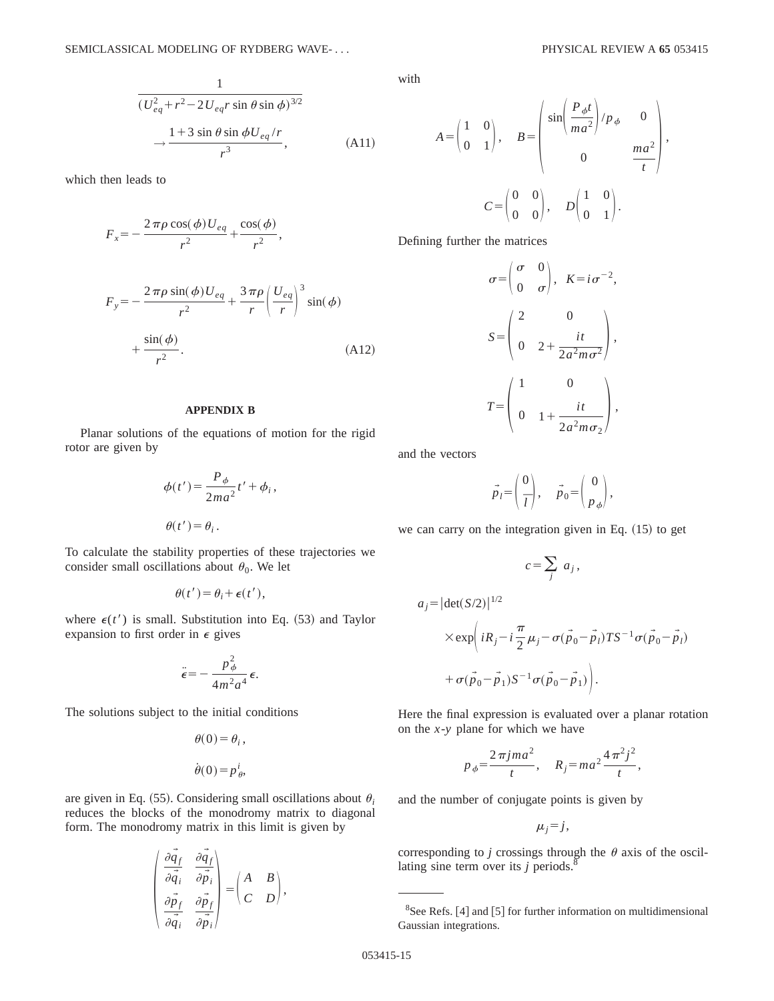$$
\frac{1}{(U_{eq}^2 + r^2 - 2U_{eq}r\sin\theta\sin\phi)^{3/2}}
$$

$$
\rightarrow \frac{1+3\sin\theta\sin\phi U_{eq}/r}{r^3},
$$
(A11)

which then leads to

$$
F_x = -\frac{2\pi\rho\cos(\phi)U_{eq}}{r^2} + \frac{\cos(\phi)}{r^2},
$$

$$
F_y = -\frac{2\pi\rho\sin(\phi)U_{eq}}{r^2} + \frac{3\pi\rho}{r}\left(\frac{U_{eq}}{r}\right)^3\sin(\phi)
$$

$$
+\frac{\sin(\phi)}{r^2}.
$$
(A12)

### **APPENDIX B**

Planar solutions of the equations of motion for the rigid rotor are given by

$$
\phi(t') = \frac{P_{\phi}}{2ma^2}t' + \phi_i,
$$
  

$$
\theta(t') = \theta_i.
$$

To calculate the stability properties of these trajectories we consider small oscillations about  $\theta_0$ . We let

$$
\theta(t') = \theta_i + \epsilon(t'),
$$

where  $\epsilon(t')$  is small. Substitution into Eq. (53) and Taylor expansion to first order in  $\epsilon$  gives

$$
\ddot{\epsilon} = -\frac{p_{\phi}^2}{4m^2a^4}\epsilon.
$$

The solutions subject to the initial conditions

$$
\theta(0) = \theta_i,
$$
  

$$
\dot{\theta}(0) = p_{\theta}^i,
$$

are given in Eq.  $(55)$ . Considering small oscillations about  $\theta_i$ reduces the blocks of the monodromy matrix to diagonal form. The monodromy matrix in this limit is given by

$$
\begin{pmatrix}\n\frac{\partial \vec{q}_f}{\partial \vec{q}_i} & \frac{\partial \vec{q}_f}{\partial \vec{p}_i} \\
\frac{\partial \vec{p}_f}{\partial \vec{q}_i} & \frac{\partial \vec{p}_f}{\partial \vec{p}_i}\n\end{pmatrix} = \begin{pmatrix} A & B \\ C & D \end{pmatrix},
$$

with

$$
A = \begin{pmatrix} 1 & 0 \\ 0 & 1 \end{pmatrix}, \quad B = \begin{pmatrix} \sin\left(\frac{P_{\phi}t}{ma^2}\right)/p_{\phi} & 0 \\ 0 & \frac{ma^2}{t} \end{pmatrix},
$$

$$
C = \begin{pmatrix} 0 & 0 \\ 0 & 0 \end{pmatrix}, \quad D \begin{pmatrix} 1 & 0 \\ 0 & 1 \end{pmatrix}.
$$

Defining further the matrices

$$
\sigma = \begin{pmatrix} \sigma & 0 \\ 0 & \sigma \end{pmatrix}, \quad K = i\sigma^{-2},
$$

$$
S = \begin{pmatrix} 2 & 0 \\ 0 & 2 + \frac{it}{2a^2m\sigma^2} \end{pmatrix},
$$

$$
T = \begin{pmatrix} 1 & 0 \\ 0 & 1 + \frac{it}{2a^2m\sigma_2} \end{pmatrix},
$$

and the vectors

$$
\vec{p}_l = \begin{pmatrix} 0 \\ \overline{l} \end{pmatrix}, \quad \vec{p}_0 = \begin{pmatrix} 0 \\ p_{\phi} \end{pmatrix},
$$

we can carry on the integration given in Eq.  $(15)$  to get

$$
c=\sum_j\ a_j\,,
$$

$$
a_j = |\det(S/2)|^{1/2}
$$
  
 
$$
\times \exp\left(iR_j - i\frac{\pi}{2}\mu_j - \sigma(\vec{p}_0 - \vec{p}_i))TS^{-1}\sigma(\vec{p}_0 - \vec{p}_i)\right)
$$
  
+ 
$$
\sigma(\vec{p}_0 - \vec{p}_1)S^{-1}\sigma(\vec{p}_0 - \vec{p}_1)\bigg).
$$

Here the final expression is evaluated over a planar rotation on the *x*-*y* plane for which we have

$$
p_{\phi} = \frac{2\pi jma^2}{t}, \quad R_j = ma^2 \frac{4\pi^2 j^2}{t},
$$

and the number of conjugate points is given by

$$
\mu_j = j,
$$

corresponding to *j* crossings through the  $\theta$  axis of the oscillating sine term over its  $j$  periods. $\delta$ 

 $8$ See Refs. [4] and [5] for further information on multidimensional Gaussian integrations.